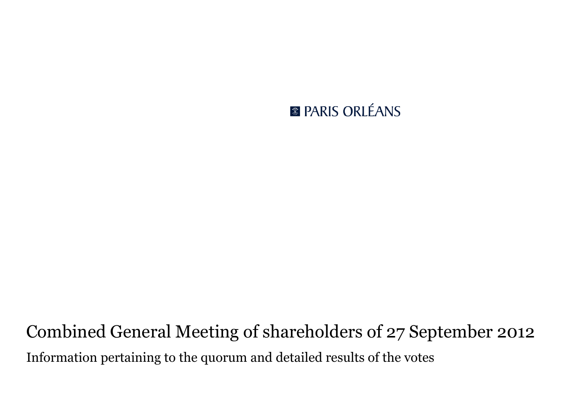## **R PARIS ORLÉANS**

# Combined General Meeting of shareholders of 27 September 2012 Information pertaining to the quorum and detailed results of the votes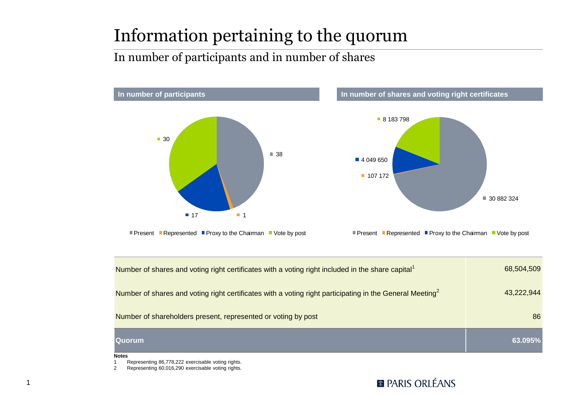# Information pertaining to the quorum

#### In number of participants and in number of shares



| Number of shares and voting right certificates with a voting right included in the share capital <sup>1</sup>        | 68,504,509 |
|----------------------------------------------------------------------------------------------------------------------|------------|
| Number of shares and voting right certificates with a voting right participating in the General Meeting <sup>2</sup> | 43.222.944 |
| Number of shareholders present, represented or voting by post                                                        | 86         |
| <b>Quorum</b>                                                                                                        | 63.095%    |

**Notes**

1

1 Representing 86,778,222 exercisable voting rights.

2 Representing 60,016,290 exercisable voting rights.

#### **REPARIS ORLÉANS**